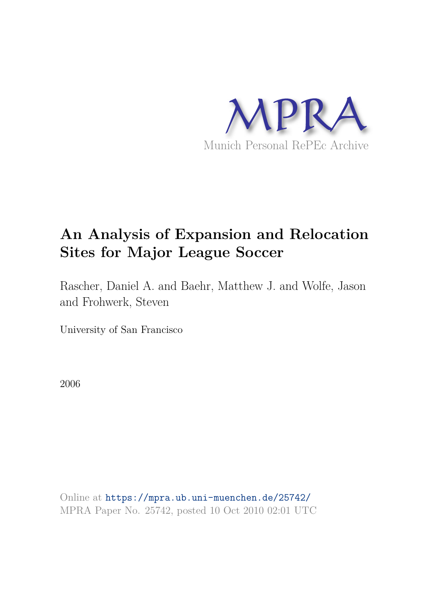

# **An Analysis of Expansion and Relocation Sites for Major League Soccer**

Rascher, Daniel A. and Baehr, Matthew J. and Wolfe, Jason and Frohwerk, Steven

University of San Francisco

2006

Online at https://mpra.ub.uni-muenchen.de/25742/ MPRA Paper No. 25742, posted 10 Oct 2010 02:01 UTC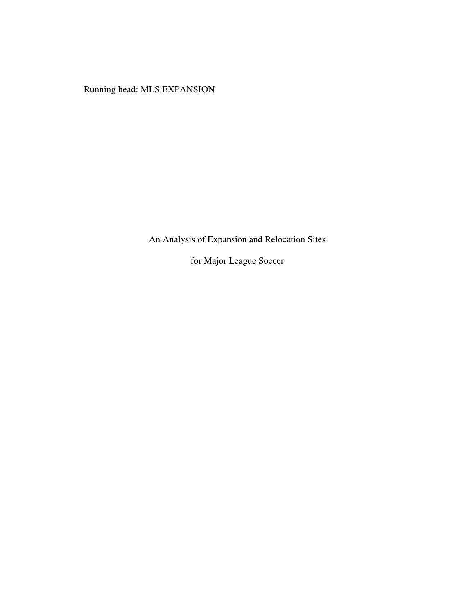Running head: MLS EXPANSION

An Analysis of Expansion and Relocation Sites

for Major League Soccer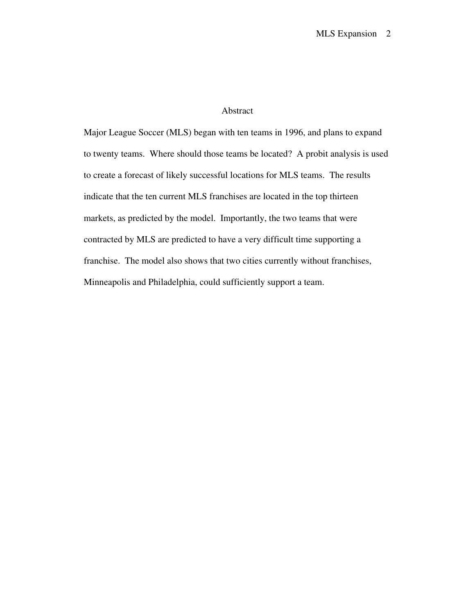## Abstract

Major League Soccer (MLS) began with ten teams in 1996, and plans to expand to twenty teams. Where should those teams be located? A probit analysis is used to create a forecast of likely successful locations for MLS teams. The results indicate that the ten current MLS franchises are located in the top thirteen markets, as predicted by the model. Importantly, the two teams that were contracted by MLS are predicted to have a very difficult time supporting a franchise. The model also shows that two cities currently without franchises, Minneapolis and Philadelphia, could sufficiently support a team.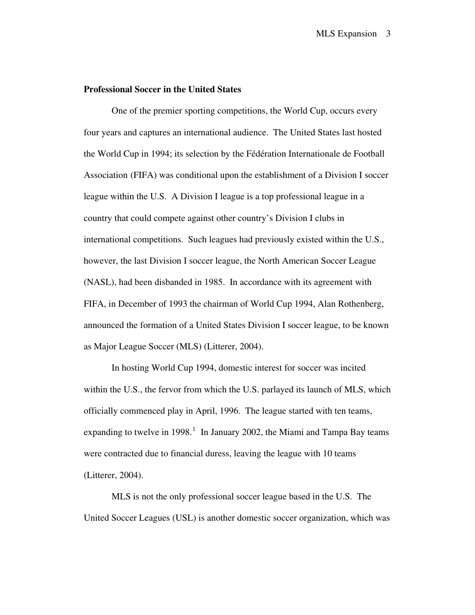## **Professional Soccer in the United States**

One of the premier sporting competitions, the World Cup, occurs every four years and captures an international audience. The United States last hosted the World Cup in 1994; its selection by the Fédération Internationale de Football Association (FIFA) was conditional upon the establishment of a Division I soccer league within the U.S. A Division I league is a top professional league in a country that could compete against other country's Division I clubs in international competitions. Such leagues had previously existed within the U.S., however, the last Division I soccer league, the North American Soccer League (NASL), had been disbanded in 1985. In accordance with its agreement with FIFA, in December of 1993 the chairman of World Cup 1994, Alan Rothenberg, announced the formation of a United States Division I soccer league, to be known as Major League Soccer (MLS) (Litterer, 2004).

In hosting World Cup 1994, domestic interest for soccer was incited within the U.S., the fervor from which the U.S. parlayed its launch of MLS, which officially commenced play in April, 1996. The league started with ten teams, expanding to twelve in [1](#page-23-0)998.<sup>1</sup> In January 2002, the Miami and Tampa Bay teams were contracted due to financial duress, leaving the league with 10 teams (Litterer, 2004).

MLS is not the only professional soccer league based in the U.S. The United Soccer Leagues (USL) is another domestic soccer organization, which was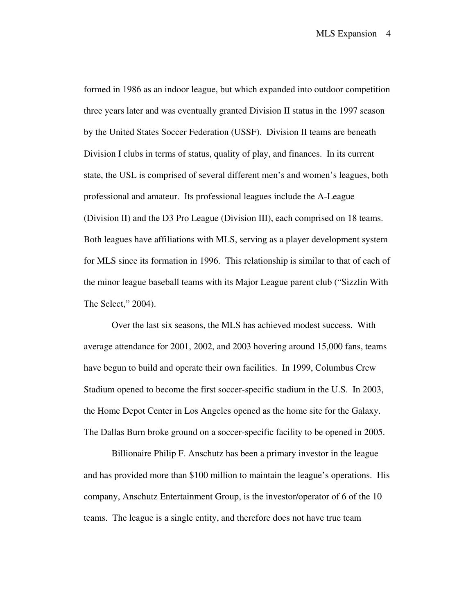formed in 1986 as an indoor league, but which expanded into outdoor competition three years later and was eventually granted Division II status in the 1997 season by the United States Soccer Federation (USSF). Division II teams are beneath Division I clubs in terms of status, quality of play, and finances. In its current state, the USL is comprised of several different men's and women's leagues, both professional and amateur. Its professional leagues include the A-League (Division II) and the D3 Pro League (Division III), each comprised on 18 teams. Both leagues have affiliations with MLS, serving as a player development system for MLS since its formation in 1996. This relationship is similar to that of each of the minor league baseball teams with its Major League parent club ("Sizzlin With The Select," 2004).

Over the last six seasons, the MLS has achieved modest success. With average attendance for 2001, 2002, and 2003 hovering around 15,000 fans, teams have begun to build and operate their own facilities. In 1999, Columbus Crew Stadium opened to become the first soccer-specific stadium in the U.S. In 2003, the Home Depot Center in Los Angeles opened as the home site for the Galaxy. The Dallas Burn broke ground on a soccer-specific facility to be opened in 2005.

Billionaire Philip F. Anschutz has been a primary investor in the league and has provided more than \$100 million to maintain the league's operations. His company, Anschutz Entertainment Group, is the investor/operator of 6 of the 10 teams. The league is a single entity, and therefore does not have true team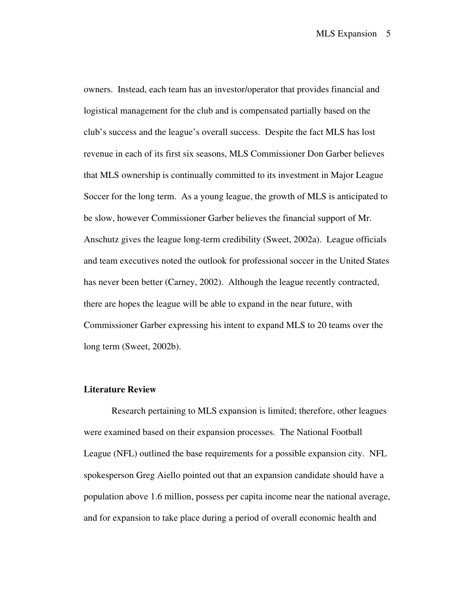owners. Instead, each team has an investor/operator that provides financial and logistical management for the club and is compensated partially based on the club's success and the league's overall success. Despite the fact MLS has lost revenue in each of its first six seasons, MLS Commissioner Don Garber believes that MLS ownership is continually committed to its investment in Major League Soccer for the long term. As a young league, the growth of MLS is anticipated to be slow, however Commissioner Garber believes the financial support of Mr. Anschutz gives the league long-term credibility (Sweet, 2002a). League officials and team executives noted the outlook for professional soccer in the United States has never been better (Carney, 2002). Although the league recently contracted, there are hopes the league will be able to expand in the near future, with Commissioner Garber expressing his intent to expand MLS to 20 teams over the long term (Sweet, 2002b).

## **Literature Review**

Research pertaining to MLS expansion is limited; therefore, other leagues were examined based on their expansion processes. The National Football League (NFL) outlined the base requirements for a possible expansion city. NFL spokesperson Greg Aiello pointed out that an expansion candidate should have a population above 1.6 million, possess per capita income near the national average, and for expansion to take place during a period of overall economic health and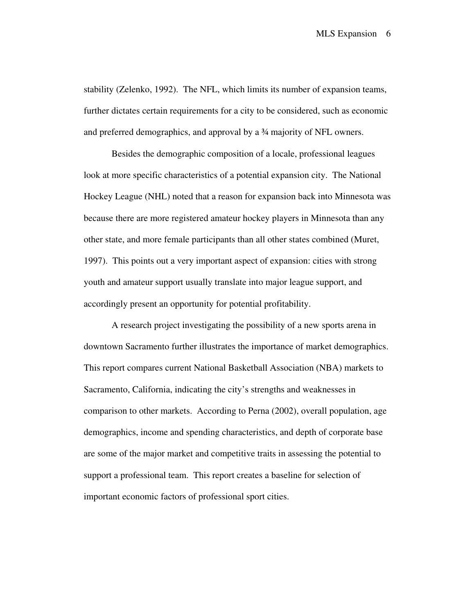stability (Zelenko, 1992). The NFL, which limits its number of expansion teams, further dictates certain requirements for a city to be considered, such as economic and preferred demographics, and approval by a ¾ majority of NFL owners.

Besides the demographic composition of a locale, professional leagues look at more specific characteristics of a potential expansion city. The National Hockey League (NHL) noted that a reason for expansion back into Minnesota was because there are more registered amateur hockey players in Minnesota than any other state, and more female participants than all other states combined (Muret, 1997). This points out a very important aspect of expansion: cities with strong youth and amateur support usually translate into major league support, and accordingly present an opportunity for potential profitability.

 A research project investigating the possibility of a new sports arena in downtown Sacramento further illustrates the importance of market demographics. This report compares current National Basketball Association (NBA) markets to Sacramento, California, indicating the city's strengths and weaknesses in comparison to other markets. According to Perna (2002), overall population, age demographics, income and spending characteristics, and depth of corporate base are some of the major market and competitive traits in assessing the potential to support a professional team. This report creates a baseline for selection of important economic factors of professional sport cities.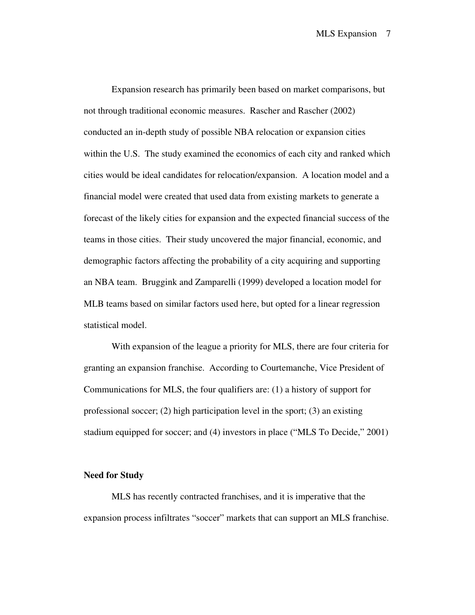Expansion research has primarily been based on market comparisons, but not through traditional economic measures. Rascher and Rascher (2002) conducted an in-depth study of possible NBA relocation or expansion cities within the U.S. The study examined the economics of each city and ranked which cities would be ideal candidates for relocation/expansion. A location model and a financial model were created that used data from existing markets to generate a forecast of the likely cities for expansion and the expected financial success of the teams in those cities. Their study uncovered the major financial, economic, and demographic factors affecting the probability of a city acquiring and supporting an NBA team. Bruggink and Zamparelli (1999) developed a location model for MLB teams based on similar factors used here, but opted for a linear regression statistical model.

With expansion of the league a priority for MLS, there are four criteria for granting an expansion franchise. According to Courtemanche, Vice President of Communications for MLS, the four qualifiers are: (1) a history of support for professional soccer; (2) high participation level in the sport; (3) an existing stadium equipped for soccer; and (4) investors in place ("MLS To Decide," 2001)

### **Need for Study**

MLS has recently contracted franchises, and it is imperative that the expansion process infiltrates "soccer" markets that can support an MLS franchise.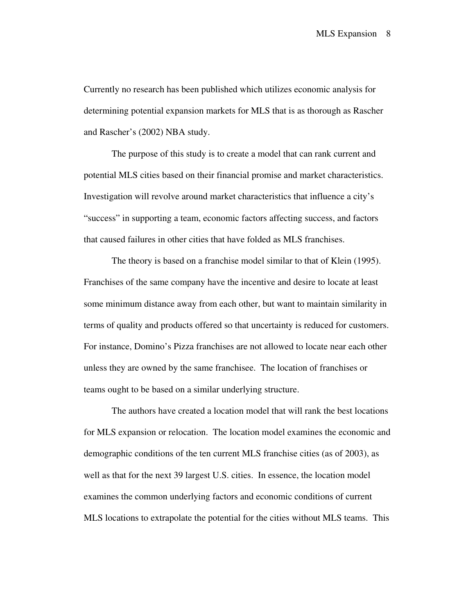Currently no research has been published which utilizes economic analysis for determining potential expansion markets for MLS that is as thorough as Rascher and Rascher's (2002) NBA study.

 The purpose of this study is to create a model that can rank current and potential MLS cities based on their financial promise and market characteristics. Investigation will revolve around market characteristics that influence a city's "success" in supporting a team, economic factors affecting success, and factors that caused failures in other cities that have folded as MLS franchises.

The theory is based on a franchise model similar to that of Klein (1995). Franchises of the same company have the incentive and desire to locate at least some minimum distance away from each other, but want to maintain similarity in terms of quality and products offered so that uncertainty is reduced for customers. For instance, Domino's Pizza franchises are not allowed to locate near each other unless they are owned by the same franchisee. The location of franchises or teams ought to be based on a similar underlying structure.

 The authors have created a location model that will rank the best locations for MLS expansion or relocation. The location model examines the economic and demographic conditions of the ten current MLS franchise cities (as of 2003), as well as that for the next 39 largest U.S. cities. In essence, the location model examines the common underlying factors and economic conditions of current MLS locations to extrapolate the potential for the cities without MLS teams. This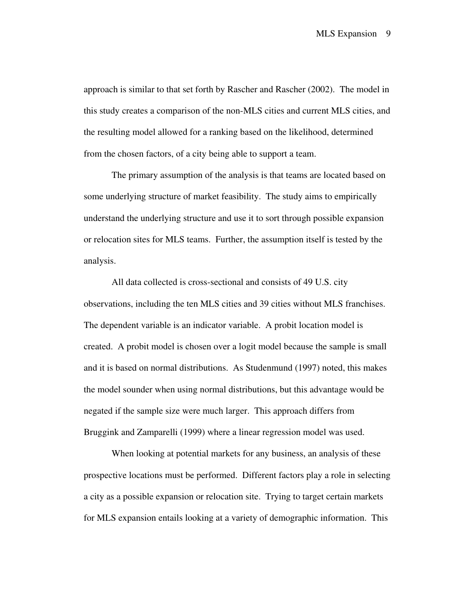approach is similar to that set forth by Rascher and Rascher (2002). The model in this study creates a comparison of the non-MLS cities and current MLS cities, and the resulting model allowed for a ranking based on the likelihood, determined from the chosen factors, of a city being able to support a team.

The primary assumption of the analysis is that teams are located based on some underlying structure of market feasibility. The study aims to empirically understand the underlying structure and use it to sort through possible expansion or relocation sites for MLS teams. Further, the assumption itself is tested by the analysis.

All data collected is cross-sectional and consists of 49 U.S. city observations, including the ten MLS cities and 39 cities without MLS franchises. The dependent variable is an indicator variable. A probit location model is created. A probit model is chosen over a logit model because the sample is small and it is based on normal distributions. As Studenmund (1997) noted, this makes the model sounder when using normal distributions, but this advantage would be negated if the sample size were much larger. This approach differs from Bruggink and Zamparelli (1999) where a linear regression model was used.

When looking at potential markets for any business, an analysis of these prospective locations must be performed. Different factors play a role in selecting a city as a possible expansion or relocation site. Trying to target certain markets for MLS expansion entails looking at a variety of demographic information. This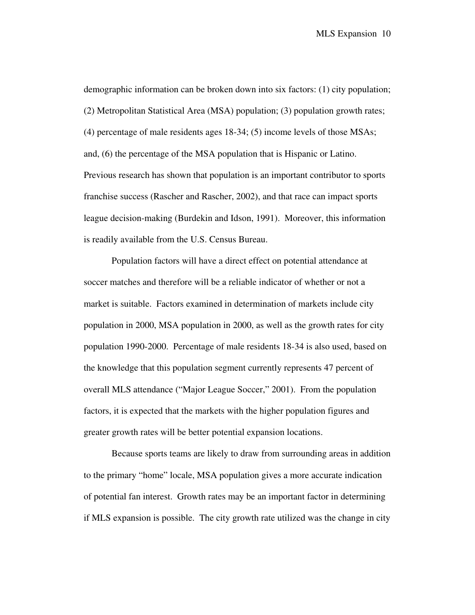demographic information can be broken down into six factors: (1) city population; (2) Metropolitan Statistical Area (MSA) population; (3) population growth rates; (4) percentage of male residents ages 18-34; (5) income levels of those MSAs; and, (6) the percentage of the MSA population that is Hispanic or Latino. Previous research has shown that population is an important contributor to sports franchise success (Rascher and Rascher, 2002), and that race can impact sports league decision-making (Burdekin and Idson, 1991). Moreover, this information is readily available from the U.S. Census Bureau.

Population factors will have a direct effect on potential attendance at soccer matches and therefore will be a reliable indicator of whether or not a market is suitable. Factors examined in determination of markets include city population in 2000, MSA population in 2000, as well as the growth rates for city population 1990-2000. Percentage of male residents 18-34 is also used, based on the knowledge that this population segment currently represents 47 percent of overall MLS attendance ("Major League Soccer," 2001). From the population factors, it is expected that the markets with the higher population figures and greater growth rates will be better potential expansion locations.

Because sports teams are likely to draw from surrounding areas in addition to the primary "home" locale, MSA population gives a more accurate indication of potential fan interest. Growth rates may be an important factor in determining if MLS expansion is possible. The city growth rate utilized was the change in city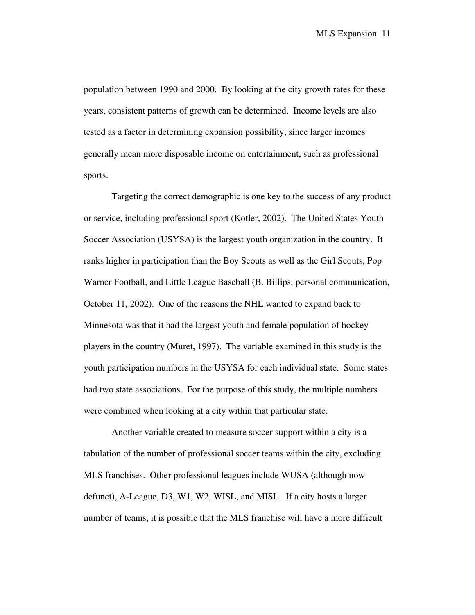population between 1990 and 2000. By looking at the city growth rates for these years, consistent patterns of growth can be determined. Income levels are also tested as a factor in determining expansion possibility, since larger incomes generally mean more disposable income on entertainment, such as professional sports.

Targeting the correct demographic is one key to the success of any product or service, including professional sport (Kotler, 2002). The United States Youth Soccer Association (USYSA) is the largest youth organization in the country. It ranks higher in participation than the Boy Scouts as well as the Girl Scouts, Pop Warner Football, and Little League Baseball (B. Billips, personal communication, October 11, 2002). One of the reasons the NHL wanted to expand back to Minnesota was that it had the largest youth and female population of hockey players in the country (Muret, 1997). The variable examined in this study is the youth participation numbers in the USYSA for each individual state. Some states had two state associations. For the purpose of this study, the multiple numbers were combined when looking at a city within that particular state.

Another variable created to measure soccer support within a city is a tabulation of the number of professional soccer teams within the city, excluding MLS franchises. Other professional leagues include WUSA (although now defunct), A-League, D3, W1, W2, WISL, and MISL. If a city hosts a larger number of teams, it is possible that the MLS franchise will have a more difficult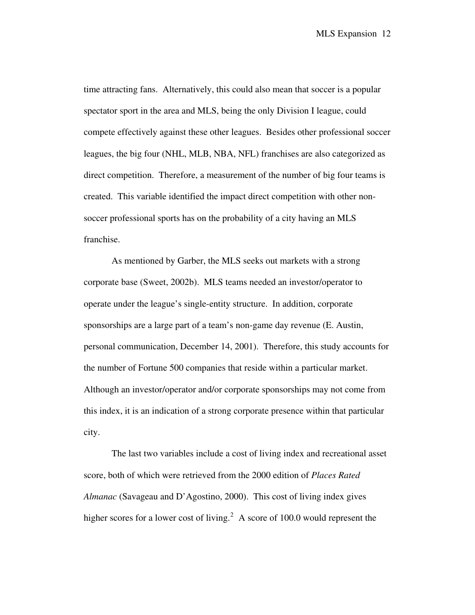time attracting fans. Alternatively, this could also mean that soccer is a popular spectator sport in the area and MLS, being the only Division I league, could compete effectively against these other leagues. Besides other professional soccer leagues, the big four (NHL, MLB, NBA, NFL) franchises are also categorized as direct competition. Therefore, a measurement of the number of big four teams is created. This variable identified the impact direct competition with other nonsoccer professional sports has on the probability of a city having an MLS franchise.

As mentioned by Garber, the MLS seeks out markets with a strong corporate base (Sweet, 2002b). MLS teams needed an investor/operator to operate under the league's single-entity structure. In addition, corporate sponsorships are a large part of a team's non-game day revenue (E. Austin, personal communication, December 14, 2001). Therefore, this study accounts for the number of Fortune 500 companies that reside within a particular market. Although an investor/operator and/or corporate sponsorships may not come from this index, it is an indication of a strong corporate presence within that particular city.

The last two variables include a cost of living index and recreational asset score, both of which were retrieved from the 2000 edition of *Places Rated Almanac* (Savageau and D'Agostino, 2000). This cost of living index gives higher scores for a lower cost of living.<sup>[2](#page-23-1)</sup> A score of 100.0 would represent the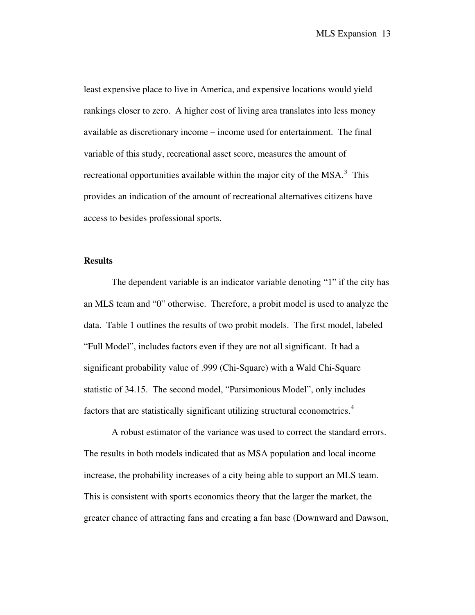least expensive place to live in America, and expensive locations would yield rankings closer to zero. A higher cost of living area translates into less money available as discretionary income – income used for entertainment. The final variable of this study, recreational asset score, measures the amount of recreational opportunities available within the major city of the  $MSA$ <sup>[3](#page-23-1)</sup>. This provides an indication of the amount of recreational alternatives citizens have access to besides professional sports.

## **Results**

The dependent variable is an indicator variable denoting "1" if the city has an MLS team and "0" otherwise. Therefore, a probit model is used to analyze the data. Table 1 outlines the results of two probit models. The first model, labeled "Full Model", includes factors even if they are not all significant. It had a significant probability value of .999 (Chi-Square) with a Wald Chi-Square statistic of 34.15. The second model, "Parsimonious Model", only includes factors that are statistically significant utilizing structural econometrics.<sup>[4](#page-23-1)</sup>

A robust estimator of the variance was used to correct the standard errors. The results in both models indicated that as MSA population and local income increase, the probability increases of a city being able to support an MLS team. This is consistent with sports economics theory that the larger the market, the greater chance of attracting fans and creating a fan base (Downward and Dawson,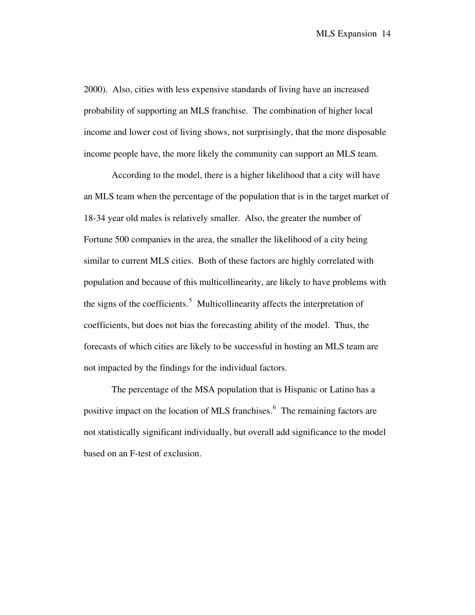2000). Also, cities with less expensive standards of living have an increased probability of supporting an MLS franchise. The combination of higher local income and lower cost of living shows, not surprisingly, that the more disposable income people have, the more likely the community can support an MLS team.

According to the model, there is a higher likelihood that a city will have an MLS team when the percentage of the population that is in the target market of 18-34 year old males is relatively smaller. Also, the greater the number of Fortune 500 companies in the area, the smaller the likelihood of a city being similar to current MLS cities. Both of these factors are highly correlated with population and because of this multicollinearity, are likely to have problems with the signs of the coefficients.<sup>[5](#page-23-1)</sup> Multicollinearity affects the interpretation of coefficients, but does not bias the forecasting ability of the model. Thus, the forecasts of which cities are likely to be successful in hosting an MLS team are not impacted by the findings for the individual factors.

The percentage of the MSA population that is Hispanic or Latino has a positive impact on the location of MLS franchises.<sup>[6](#page-24-0)</sup> The remaining factors are not statistically significant individually, but overall add significance to the mod el based on an F-test of exclusion.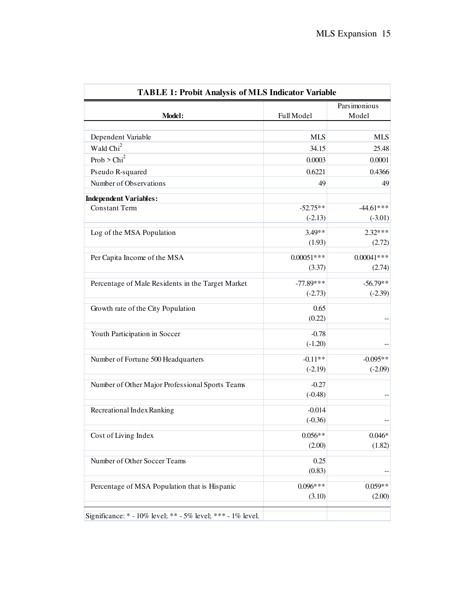|              | Parsimonious                                                                                                                                                                                             |
|--------------|----------------------------------------------------------------------------------------------------------------------------------------------------------------------------------------------------------|
| Full Model   | Model                                                                                                                                                                                                    |
|              |                                                                                                                                                                                                          |
|              | <b>MLS</b>                                                                                                                                                                                               |
|              | 25.48                                                                                                                                                                                                    |
|              | 0.0001                                                                                                                                                                                                   |
|              | 0.4366                                                                                                                                                                                                   |
|              | 49                                                                                                                                                                                                       |
|              |                                                                                                                                                                                                          |
|              | $-44.61***$                                                                                                                                                                                              |
|              | $(-3.01)$                                                                                                                                                                                                |
| $3.49**$     | $2.32***$                                                                                                                                                                                                |
| (1.93)       | (2.72)                                                                                                                                                                                                   |
| $0.00051***$ | $0.00041***$                                                                                                                                                                                             |
| (3.37)       | (2.74)                                                                                                                                                                                                   |
|              | $-56.79**$                                                                                                                                                                                               |
|              | $(-2.39)$                                                                                                                                                                                                |
|              |                                                                                                                                                                                                          |
|              |                                                                                                                                                                                                          |
|              |                                                                                                                                                                                                          |
|              |                                                                                                                                                                                                          |
|              |                                                                                                                                                                                                          |
| $-0.11**$    | $-0.095**$                                                                                                                                                                                               |
| $(-2.19)$    | $(-2.09)$                                                                                                                                                                                                |
| $-0.27$      |                                                                                                                                                                                                          |
| $(-0.48)$    |                                                                                                                                                                                                          |
|              |                                                                                                                                                                                                          |
|              |                                                                                                                                                                                                          |
|              |                                                                                                                                                                                                          |
|              | $0.046*$                                                                                                                                                                                                 |
|              | (1.82)                                                                                                                                                                                                   |
| 0.25         |                                                                                                                                                                                                          |
|              |                                                                                                                                                                                                          |
| $0.096***$   | $0.059**$                                                                                                                                                                                                |
| (3.10)       | (2.00)                                                                                                                                                                                                   |
|              | <b>MLS</b><br>34.15<br>0.0003<br>0.6221<br>49<br>$-52.75**$<br>$(-2.13)$<br>$-77.89***$<br>$(-2.73)$<br>0.65<br>(0.22)<br>$-0.78$<br>$(-1.20)$<br>$-0.014$<br>$(-0.36)$<br>$0.056**$<br>(2.00)<br>(0.83) |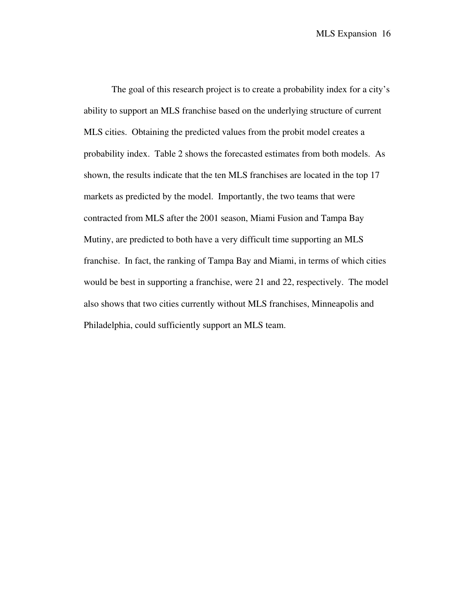The goal of this research project is to create a probability index for a city's ability to support an MLS franchise based on the underlying structure of current MLS cities. Obtaining the predicted values from the probit model creates a probability index. Table 2 shows the forecasted estimates from both models. As shown, the results indicate that the ten MLS franchises are located in the top 17 markets as predicted by the model. Importantly, the two teams that were contracted from MLS after the 2001 season, Miami Fusion and Tampa Bay Mutiny, are predicted to both have a very difficult time supporting an MLS franchise. In fact, the ranking of Tampa Bay and Miami, in terms of which cities would be best in supporting a franchise, were 21 and 22, respectively. The model also shows that two cities currently without MLS franchises, Minneapolis and Philadelphia, could sufficiently support an MLS team.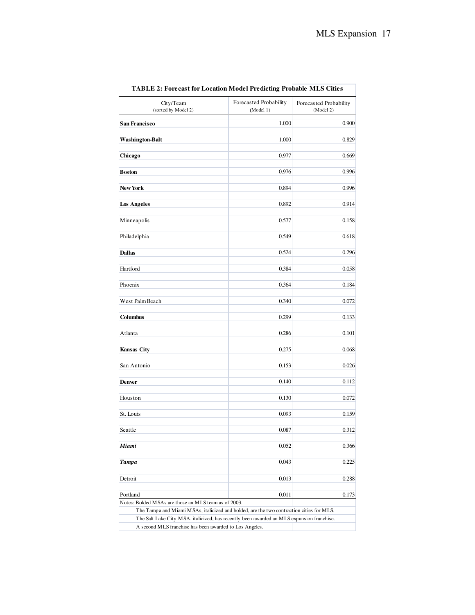| City/Team<br>(sorted by Model 2)                                 | Forecasted Probability<br>(Model 1)                                                       | Forecasted Probability<br>(Model 2) |
|------------------------------------------------------------------|-------------------------------------------------------------------------------------------|-------------------------------------|
| <b>San Francisco</b>                                             | 1.000                                                                                     | 0.900                               |
| <b>Washington-Balt</b>                                           | 1.000                                                                                     | 0.829                               |
| Chicago                                                          | 0.977                                                                                     | 0.669                               |
| <b>Boston</b>                                                    | 0.976                                                                                     | 0.996                               |
| <b>New York</b>                                                  | 0.894                                                                                     | 0.996                               |
| <b>Los Angeles</b>                                               | 0.892                                                                                     | 0.914                               |
| Minneapolis                                                      | 0.577                                                                                     | 0.158                               |
| Philadelphia                                                     | 0.549                                                                                     | 0.618                               |
| <b>Dallas</b>                                                    | 0.524                                                                                     | 0.296                               |
| Hartford                                                         | 0.384                                                                                     | 0.058                               |
| Phoenix                                                          | 0.364                                                                                     | 0.184                               |
| West Palm Beach                                                  | 0.340                                                                                     | 0.072                               |
| Columbus                                                         | 0.299                                                                                     | 0.133                               |
| Atlanta                                                          | 0.286                                                                                     | 0.101                               |
| Kansas City                                                      | 0.275                                                                                     | 0.068                               |
| San Antonio                                                      | 0.153                                                                                     | 0.026                               |
| Denver                                                           | 0.140                                                                                     | 0.112                               |
| Houston                                                          | 0.130                                                                                     | 0.072                               |
| St. Louis                                                        | 0.093                                                                                     | 0.159                               |
| Seattle                                                          | 0.087                                                                                     | 0.312                               |
| Miami                                                            | 0.052                                                                                     | 0.366                               |
| <b>Tampa</b>                                                     | 0.043                                                                                     | 0.225                               |
| Detroit                                                          | 0.013                                                                                     | 0.288                               |
| Portland<br>Notes: Bolded MSAs are those an MLS team as of 2003. | 0.011                                                                                     | 0.173                               |
|                                                                  | The Tampa and Miami MSAs, italicized and bolded, are the two contraction cities for MLS.  |                                     |
|                                                                  | The Salt Lake City MSA, italicized, has recently been awarded an MLS expansion franchise. |                                     |
| A second MLS franchise has been awarded to Los Angeles.          |                                                                                           |                                     |

**TABLE 2: Forecast for Location Model Predicting Probable MLS Cities**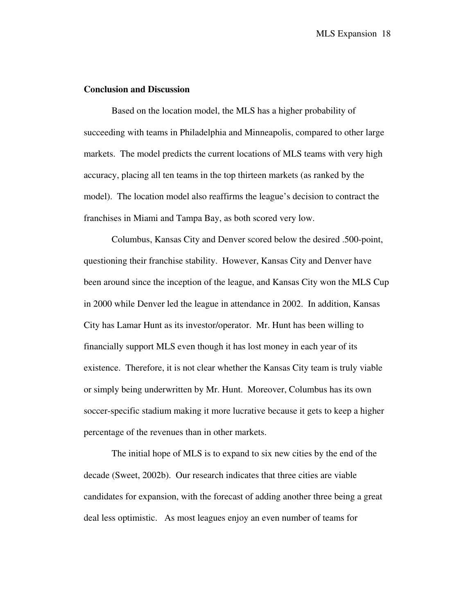## **Conclusion and Discussion**

Based on the location model, the MLS has a higher probability of succeeding with teams in Philadelphia and Minneapolis, compared to other large markets. The model predicts the current locations of MLS teams with very high accuracy, placing all ten teams in the top thirteen markets (as ranked by the model). The location model also reaffirms the league's decision to contract the franchises in Miami and Tampa Bay, as both scored very low.

Columbus, Kansas City and Denver scored below the desired .500-point, questioning their franchise stability. However, Kansas City and Denver have been around since the inception of the league, and Kansas City won the MLS Cup in 2000 while Denver led the league in attendance in 2002. In addition, Kansas City has Lamar Hunt as its investor/operator. Mr. Hunt has been willing to financially support MLS even though it has lost money in each year of its existence. Therefore, it is not clear whether the Kansas City team is truly viable or simply being underwritten by Mr. Hunt. Moreover, Columbus has its own soccer-specific stadium making it more lucrative because it gets to keep a higher percentage of the revenues than in other markets.

The initial hope of MLS is to expand to six new cities by the end of the decade (Sweet, 2002b). Our research indicates that three cities are viable candidates for expansion, with the forecast of adding another three being a great deal less optimistic. As most leagues enjoy an even number of teams for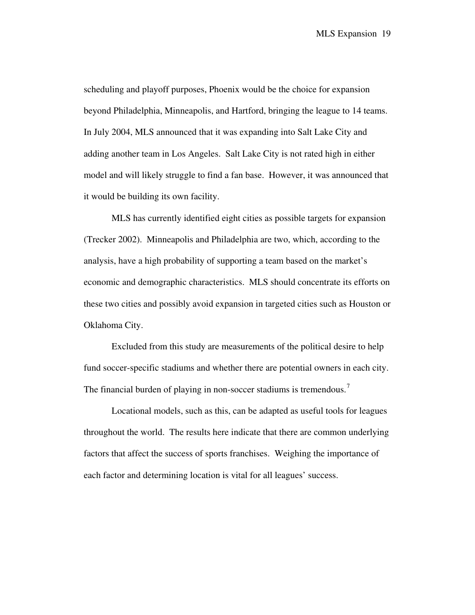scheduling and playoff purposes, Phoenix would be the choice for expansion beyond Philadelphia, Minneapolis, and Hartford, bringing the league to 14 teams. In July 2004, MLS announced that it was expanding into Salt Lake City and adding another team in Los Angeles. Salt Lake City is not rated high in either model and will likely struggle to find a fan base. However, it was announced that it would be building its own facility.

MLS has currently identified eight cities as possible targets for expansion (Trecker 2002). Minneapolis and Philadelphia are two, which, according to the analysis, have a high probability of supporting a team based on the market's economic and demographic characteristics. MLS should concentrate its efforts on these two cities and possibly avoid expansion in targeted cities such as Houston or Oklahoma City.

Excluded from this study are measurements of the political desire to help fund soccer-specific stadiums and whether there are potential owners in each city. The financial burden of playing in non-soccer stadiums is tremendous.<sup>[7](#page-24-0)</sup>

Locational models, such as this, can be adapted as useful tools for leagues throughout the world. The results here indicate that there are common underlying factors that affect the success of sports franchises. Weighing the importance of each factor and determining location is vital for all leagues' success.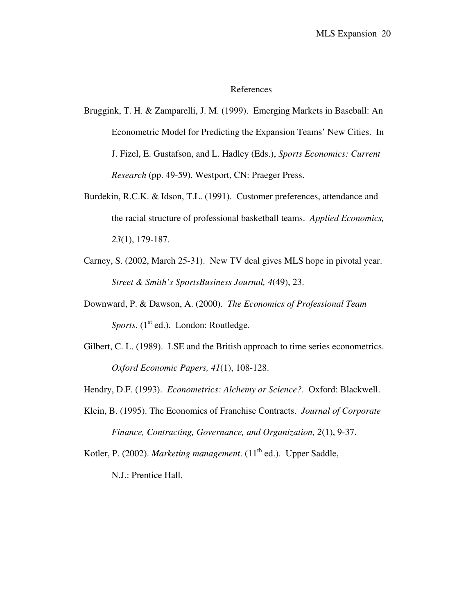#### References

- Bruggink, T. H. & Zamparelli, J. M. (1999). Emerging Markets in Baseball: An Econometric Model for Predicting the Expansion Teams' New Cities. In J. Fizel, E. Gustafson, and L. Hadley (Eds.), *Sports Economics: Current Research* (pp. 49-59). Westport, CN: Praeger Press.
- Burdekin, R.C.K. & Idson, T.L. (1991). Customer preferences, attendance and the racial structure of professional basketball teams. *Applied Economics, 23*(1), 179-187.
- Carney, S. (2002, March 25-31). New TV deal gives MLS hope in pivotal year. *Street & Smith's SportsBusiness Journal, 4*(49), 23.
- Downward, P. & Dawson, A. (2000). *The Economics of Professional Team Sports*. (1<sup>st</sup> ed.). London: Routledge.
- Gilbert, C. L. (1989). LSE and the British approach to time series econometrics. *Oxford Economic Papers, 41*(1), 108-128.
- Hendry, D.F. (1993). *Econometrics: Alchemy or Science?*. Oxford: Blackwell.
- Klein, B. (1995). The Economics of Franchise Contracts. *Journal of Corporate Finance, Contracting, Governance, and Organization, 2*(1), 9-37.

Kotler, P. (2002). *Marketing management*. (11<sup>th</sup> ed.). Upper Saddle,

N.J.: Prentice Hall.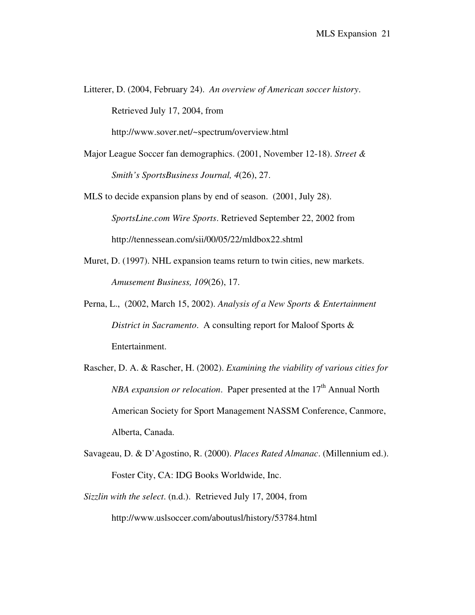Litterer, D. (2004, February 24). *An overview of American soccer history*. Retrieved July 17, 2004, from http://www.sover.net/~spectrum/overview.html

Major League Soccer fan demographics. (2001, November 12-18). *Street & Smith's SportsBusiness Journal, 4*(26), 27.

MLS to decide expansion plans by end of season. (2001, July 28). *SportsLine.com Wire Sports*. Retrieved September 22, 2002 from http://tennessean.com/sii/00/05/22/mldbox22.shtml

- Muret, D. (1997). NHL expansion teams return to twin cities, new markets. *Amusement Business, 109*(26), 17.
- Perna, L., (2002, March 15, 2002). *Analysis of a New Sports & Entertainment District in Sacramento*. A consulting report for Maloof Sports & Entertainment.
- Rascher, D. A. & Rascher, H. (2002). *Examining the viability of various cities for NBA expansion or relocation.* Paper presented at the 17<sup>th</sup> Annual North American Society for Sport Management NASSM Conference, Canmore, Alberta, Canada.
- Savageau, D. & D'Agostino, R. (2000). *Places Rated Almanac*. (Millennium ed.). Foster City, CA: IDG Books Worldwide, Inc.
- *Sizzlin with the select*. (n.d.). Retrieved July 17, 2004, from http://www.uslsoccer.com/aboutusl/history/53784.html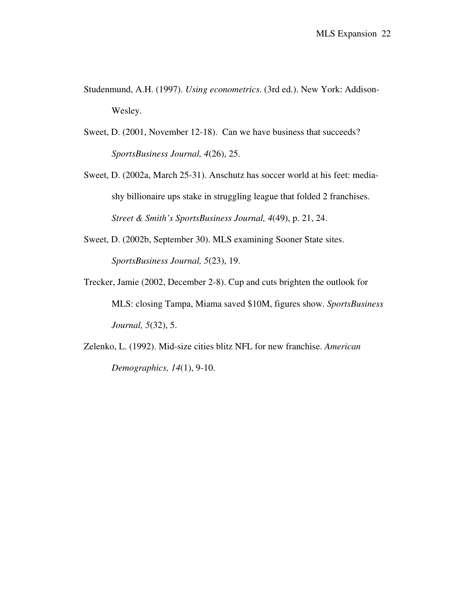- Studenmund, A.H. (1997). *Using econometrics*. (3rd ed.). New York: Addison-Wesley.
- Sweet, D. (2001, November 12-18). Can we have business that succeeds? *SportsBusiness Journal, 4*(26), 25.
- Sweet, D. (2002a, March 25-31). Anschutz has soccer world at his feet: mediashy billionaire ups stake in struggling league that folded 2 franchises. *Street & Smith's SportsBusiness Journal, 4*(49), p. 21, 24.
- Sweet, D. (2002b, September 30). MLS examining Sooner State sites. *SportsBusiness Journal, 5*(23), 19.
- Trecker, Jamie (2002, December 2-8). Cup and cuts brighten the outlook for MLS: closing Tampa, Miama saved \$10M, figures show. *SportsBusiness Journal, 5*(32), 5.
- Zelenko, L. (1992). Mid-size cities blitz NFL for new franchise. *American Demographics, 14*(1), 9-10.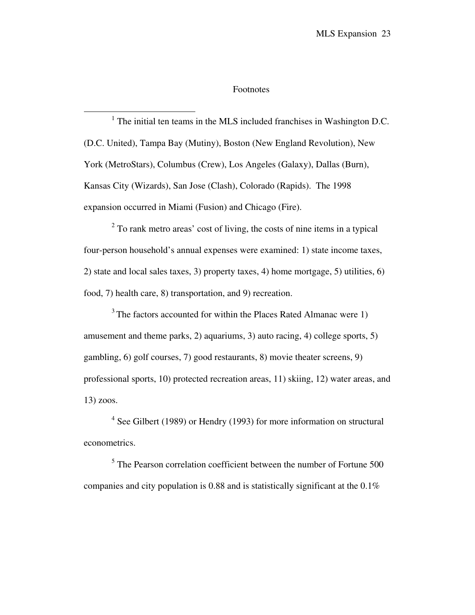#### Footnotes

<span id="page-23-0"></span> $<sup>1</sup>$  The initial ten teams in the MLS included franchises in Washington D.C.</sup> (D.C. United), Tampa Bay (Mutiny), Boston (New England Revolution), New York (MetroStars), Columbus (Crew), Los Angeles (Galaxy), Dallas (Burn), Kansas City (Wizards), San Jose (Clash), Colorado (Rapids). The 1998 expansion occurred in Miami (Fusion) and Chicago (Fire).

<span id="page-23-1"></span> $\overline{a}$ 

 $2^2$  To rank metro areas' cost of living, the costs of nine items in a typical four-person household's annual expenses were examined: 1) state income taxes, 2) state and local sales taxes, 3) property taxes, 4) home mortgage, 5) utilities, 6) food, 7) health care, 8) transportation, and 9) recreation.

<sup>3</sup> The factors accounted for within the Places Rated Almanac were 1) amusement and theme parks, 2) aquariums, 3) auto racing, 4) college sports, 5) gambling, 6) golf courses, 7) good restaurants, 8) movie theater screens, 9) professional sports, 10) protected recreation areas, 11) skiing, 12) water areas, and 13) zoos.

<sup>4</sup> See Gilbert (1989) or Hendry (1993) for more information on structural econometrics.

<sup>5</sup> The Pearson correlation coefficient between the number of Fortune 500 companies and city population is 0.88 and is statistically significant at the 0.1%